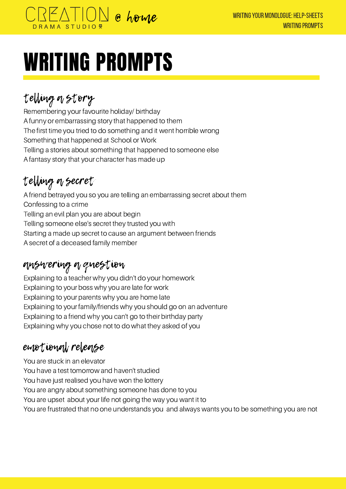### $\sqrt{\frac{1}{m}}$  o home DRAMA STUDIOS

# WRITING PROMPTS

### telling a story

Remembering your favourite holiday/ birthday A funny or embarrassing story that happened to them The first time you tried to do something and it went horrible wrong Something that happened at School or Work Telling a stories about something that happened to someone else A fantasy story that your character has made up

### telling a secret

A friend betrayed you so you are telling an embarrassing secret about them Confessing to a crime Telling an evil plan you are about begin Telling someone else's secret they trusted you with Starting a made up secret to cause an argument between friends A secret of a deceased family member

### answering a question

Explaining to a teacher why you didn't do your homework Explaining to your boss why you are late for work Explaining to your parents why you are home late Explaining to your family/friends why you should go on an adventure Explaining to a friend why you can't go to their birthday party Explaining why you chose not to do what they asked of you

### emotional release

You are stuck in an elevator You have a test tomorrow and haven't studied You have just realised you have won the lottery You are angry about something someone has done to you You are upset about your life not going the way you want it to You are frustrated that no one understands you and always wants you to be something you are not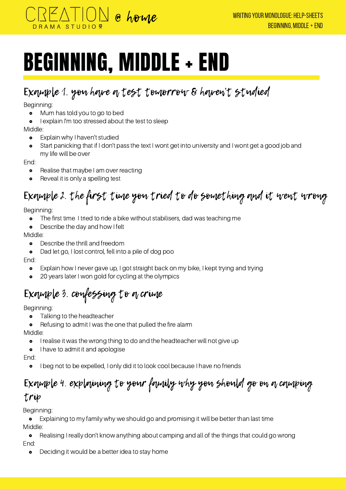

# BEGINNING, MIDDLE + END

#### Example 1. you have a test tomorrow & haven't studied

Beginning:

- Mum has told you to go to bed  $\bullet$
- $\bullet$ I explain I'm too stressed about the test to sleep

Middle:

- Explain why I haven't studied  $\bullet$
- Start panicking that if I don't pass the text I wont get into university and I wont get a good job and  $\bullet$ my life will be over

End:

- $\bullet$ Realise that maybe I am over reacting
- Reveal it is only a spelling test  $\bullet$

### Example 2. the first time you tried to do something and it went wrong

Beginning:

- $\bullet$ The first time I tried to ride a bike without stabilisers, dad was teaching me
- Describe the day and how I felt  $\ddot{\mathbf{c}}$

Middle:

- Describe the thrill and freedom  $\bullet$
- Dad let go, I lost control, fell into a pile of dog poo  $\bullet$

End:

- Explain how I never gave up, I got straight back on my bike, I kept trying and trying  $\bullet$
- 20 years later I won gold for cycling at the olympics  $\bullet$

### Example 3. confessing to a crime

Beginning:

- $\bullet$ Talking to the headteacher
- Refusing to admit I was the one that pulled the fire alarm  $\bullet$

Middle:

- I realise it was the wrong thing to do and the headteacher will not give up  $\bullet$
- I have to admit it and apologise  $\bullet$

End:

I beg not to be expelled, I only did it to look cool because I have no friends  $\bullet$ 

#### Example 4. explaining to your family why you should go on a camping trip

Beginning:

- Explaining to my family why we should go and promising it will be better than last time  $\bullet$ Middle:
- $\bullet$ Realising I really don't know anything about camping and all of the things that could go wrong End:
	- Deciding it would be a better idea to stay home  $\bullet$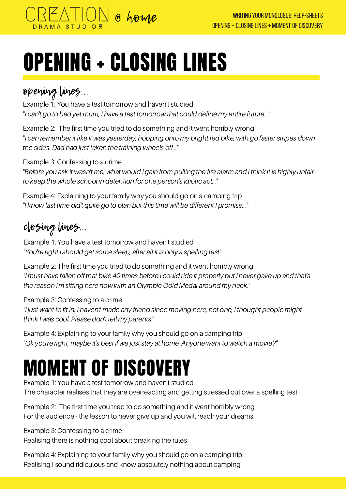

# OPENING + CLOSING LINES

#### opening lines...

Example 1: You have a test tomorrow and haven't studied "I can't go to bed yet mum, I have a test tomorrow that could define my entire future..."

Example 2: The first time you tried to do something and it went horribly wrong "I can remember it like it was yesterday, hopping onto my bright red bike, with go faster stripes down the sides. Dad had just taken the training wheels off..."

Example 3: Confessing to a crime

"Before you ask it wasn't me, what would I gain from pulling the fire alarm and I think it is highly unfair to keep the whole school in detention for one person's idiotic act..."

Example 4: Explaining to your family why you should go on a camping trip "I know last time did't quite go to plan but this time will be different I promise..."

### closing lines...

Example 1: You have a test tomorrow and haven't studied "You're right I should get some sleep, after all it is only a spelling test"

Example 2: The first time you tried to do something and it went horribly wrong "I must have fallen off that bike 40 times before I could ride it properly but I never gave up and that's the reason I'm sitting here now with an Olympic Gold Medal around my neck."

Example 3: Confessing to a crime

"I just want to fit in, I haven't made any friend since moving here, not one, I thought people might think I was cool. Please don't tell my parents."

Example 4: Explaining to your family why you should go on a camping trip "Ok you're right, maybe it's best if we just stay at home. Anyone want to watch a movie?"

# MOMENT OF DISCOVERY

Example 1: You have a test tomorrow and haven't studied The character realises that they are overreacting and getting stressed out over a spelling test

Example 2: The first time you tried to do something and it went horribly wrong For the audience - the lesson to never give up and you will reach your dreams

Example 3: Confessing to a crime Realising there is nothing cool about breaking the rules

Example 4: Explaining to your family why you should go on a camping trip Realising I sound ridiculous and know absolutely nothing about camping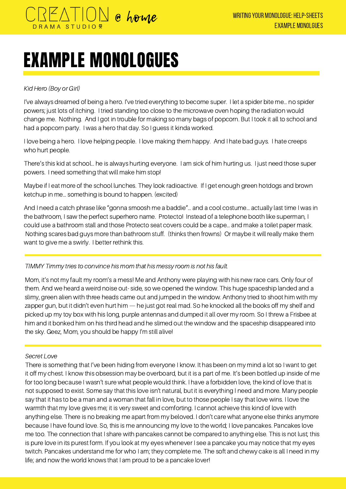## EXAMPLE MONOLOGUES

@ home

#### Kid Hero (Boy or Girl)

DRAMA STUDIOS

I've always dreamed of being a hero. I've tried everything to become super. I let a spider bite me… no spider powers; just lots of itching. I tried standing too close to the microwave oven hoping the radiation would change me. Nothing. And I got in trouble for making so many bags of popcorn. But I took it all to school and had a popcorn party. I was a hero that day. So I guess it kinda worked.

I love being a hero. I love helping people. I love making them happy. And I hate bad guys. I hate creeps who hurt people.

There's this kid at school… he is always hurting everyone. I am sick of him hurting us. I just need those super powers. I need something that will make him stop!

Maybe if I eat more of the school lunches. They look radioactive. If I get enough green hotdogs and brown ketchup in me… something is bound to happen. (excited)

And I need a catch phrase like "gonna smoosh me a baddie"… and a cool costume… actually last time I was in the bathroom, I saw the perfect superhero name. Protecto! Instead of a telephone booth like superman, I could use a bathroom stall and those Protecto seat covers could be a cape… and make a toilet paper mask. Nothing scares bad guys more than bathroom stuff. (thinks then frowns) Or maybe it will really make them want to give me a swirly. I better rethink this.

#### TIMMY Timmy tries to convince his mom that his messy room is not his fault.

Mom, it's not my fault my room's a mess! Me and Anthony were playing with his new race cars. Only four of them. And we heard a weird noise out- side, so we opened the window. This huge spaceship landed and a slimy, green alien with three heads came out and jumped in the window. Anthony tried to shoot him with my zapper gun, but it didn't even hurt him — he just got real mad. So he knocked all the books off my shelf and picked up my toy box with his long, purple antennas and dumped it all over my room. So I threw a Frisbee at him and it bonked him on his third head and he slimed out the window and the spaceship disappeared into the sky. Geez, Mom, you should be happy I'm still alive!

#### Secret Love

There is something that I've been hiding from everyone I know. It has been on my mind a lot so I want to get it off my chest. I know this obsession may be overboard, but it is a part of me. It's been bottled up inside of me for too long because I wasn't sure what people would think. I have a forbidden love, the kind of love that is not supposed to exist. Some say that this love isn't natural, but it is everything I need and more. Many people say that it has to be a man and a woman that fall in love, but to those people I say that love wins. I love the warmth that my love gives me; it is very sweet and comforting. I cannot achieve this kind of love with anything else. There is no breaking me apart from my beloved. I don't care what anyone else thinks anymore because I have found love. So, this is me announcing my love to the world; I love pancakes. Pancakes love me too. The connection that I share with pancakes cannot be compared to anything else. This is not lust; this is pure love in its purest form. If you look at my eyes whenever I see a pancake you may notice that my eyes twitch. Pancakes understand me for who I am; they complete me. The soft and chewy cake is all I need in my life; and now the world knows that I am proud to be a pancake lover!